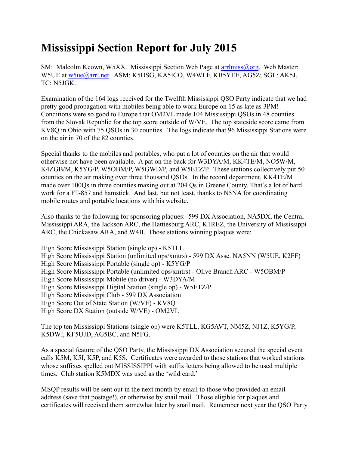## **Mississippi Section Report for July 2015**

SM: Malcolm Keown, W5XX. Mississippi Section Web Page at arrilmiss@org. Web Master: W5UE at [w5ue@arrl.net.](mailto:w5ue@arrl.net) ASM: K5DSG, KA5ICO, W4WLF, KB5YEE, AG5Z; SGL: AK5J, TC: N5JGK.

Examination of the 164 logs received for the Twelfth Mississippi QSO Party indicate that we had pretty good propagation with mobiles being able to work Europe on 15 as late as 3PM! Conditions were so good to Europe that OM2VL made 104 Mississippi QSOs in 48 counties from the Slovak Republic for the top score outside of W/VE. The top stateside score came from KV8Q in Ohio with 75 QSOs in 30 counties. The logs indicate that 96 Mississippi Stations were on the air in 70 of the 82 counties.

Special thanks to the mobiles and portables, who put a lot of counties on the air that would otherwise not have been available. A pat on the back for W3DYA/M, KK4TE/M, NO5W/M, K4ZGB/M, K5YG/P, W5OBM/P, W5GWD/P, and W5ETZ/P. These stations collectively put 50 counties on the air making over three thousand QSOs. In the record department, KK4TE/M made over 100Qs in three counties maxing out at 204 Qs in Greene County. That's a lot of hard work for a FT-857 and hamstick. And last, but not least, thanks to N5NA for coordinating mobile routes and portable locations with his website.

Also thanks to the following for sponsoring plaques: 599 DX Association, NA5DX, the Central Mississippi ARA, the Jackson ARC, the Hattiesburg ARC, K1REZ, the University of Mississippi ARC, the Chickasaw ARA, and W4II. Those stations winning plaques were:

High Score Mississippi Station (single op) - K5TLL High Score Mississippi Station (unlimited ops/xmtrs) - 599 DX Assc. NA5NN (W5UE, K2FF) High Score Mississippi Portable (single op) - K5YG/P High Score Mississippi Portable (unlimited ops/xmtrs) - Olive Branch ARC - W5OBM/P High Score Mississippi Mobile (no driver) - W3DYA/M High Score Mississippi Digital Station (single op) - W5ETZ/P High Score Mississippi Club - 599 DX Association High Score Out of State Station (W/VE) - KV8Q High Score DX Station (outside W/VE) - OM2VL

The top ten Mississippi Stations (single op) were K5TLL, KG5AVT, NM5Z, NJ1Z, K5YG/P, K5DWI, KF5UJD, AG5BC, and N5FG.

As a special feature of the QSO Party, the Mississippi DX Association secured the special event calls K5M, K5I, K5P, and K5S. Certificates were awarded to those stations that worked stations whose suffixes spelled out MISSISSIPPI with suffix letters being allowed to be used multiple times. Club station K5MDX was used as the 'wild card.'

MSQP results will be sent out in the next month by email to those who provided an email address (save that postage!), or otherwise by snail mail. Those eligible for plaques and certificates will received them somewhat later by snail mail. Remember next year the QSO Party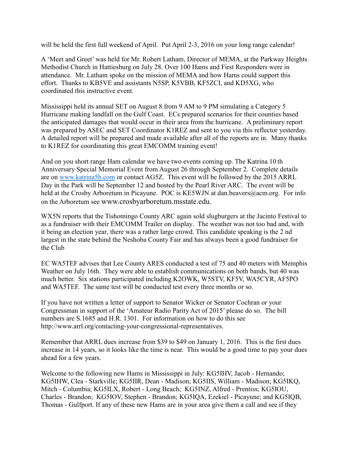will be held the first full weekend of April. Put April 2-3, 2016 on your long range calendar!

A 'Meet and Greet' was held for Mr. Robert Latham, Director of MEMA, at the Parkway Heights Methodist Church in Hattiesburg on July 28. Over 100 Hams and First Responders were in attendance. Mr. Latham spoke on the mission of MEMA and how Hams could support this effort. Thanks to KB5VE and assistants N5SP, K5VBB, KF5ZCI, and KD5XG, who coordinated this instructive event.

Mississippi held its annual SET on August 8 from 9 AM to 9 PM simulating a Category 5 Hurricane making landfall on the Gulf Coast. ECs prepared scenarios for their counties based the anticipated damages that would occur in their area from the hurricane. A preliminary report was prepared by ASEC and SET Coordinator K1REZ and sent to you via this reflector yesterday. A detailed report will be prepared and made available after all of the reports are in. Many thanks to K1REZ for coordinating this great EMCOMM training event!

And on you short range Ham calendar we have two events coming up. The Katrina 10 th Anniversary Special Memorial Event from August 26 through September 2. Complete details are on [www.katrina5h.com](http://www.katrina5h.com/) or contact AG5Z. This event will be followed by the 2015 ARRL Day in the Park will be September 12 and hosted by the Pearl River ARC. The event will be held at the Crosby Arboretum in Picayune. POC is KE5WJN at dan.beavers@acm.org. For info on the Arboretum see www.crosbyarboretum.msstate.edu.

WX5N reports that the Tishomingo County ARC again sold slugburgers at the Jacinto Festival to as a fundraiser with their EMCOMM Trailer on display. The weather was not too bad and, with it being an election year, there was a rather large crowd. This candidate speaking is the 2 nd largest in the state behind the Neshoba County Fair and has always been a good fundraiser for the Club

EC WA5TEF advises that Lee County ARES conducted a test of 75 and 40 meters with Memphis Weather on July 16th. They were able to establish communications on both bands, but 40 was much better. Six stations participated including K2OWK, W5STV, KF5V, WA5CYR, AF5PO and WA5TEF. The same test will be conducted test every three months or so.

If you have not written a letter of support to Senator Wicker or Senator Cochran or your Congressman in support of the 'Amateur Radio Parity Act of 2015' please do so. The bill numbers are S.1685 and H.R. 1301. For information on how to do this see http://www.arrl.org/contacting-your-congressional-representatives.

Remember that ARRL dues increase from \$39 to \$49 on January 1, 2016. This is the first dues increase in 14 years, so it looks like the time is near. This would be a good time to pay your dues ahead for a few years.

Welcome to the following new Hams in Mississippi in July: KG5IHV, Jacob - Hernando; KG5IHW, Clea - Starkville; KG5IIR, Dean - Madison; KG5IIS, William - Madison; KG5IKQ, Mitch - Columbia; KG5ILX, Robert - Long Beach; KG5INZ, Alfred - Prentiss; KG5IOU, Charles - Brandon; KG5IOV, Stephen - Brandon; KG5IQA, Ezekiel - Picayune; and KG5IQB, Thomas - Gulfport. If any of these new Hams are in your area give them a call and see if they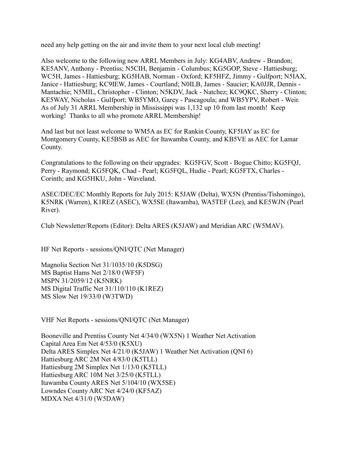need any help getting on the air and invite them to your next local club meeting!

Also welcome to the following new ARRL Members in July: KG4ABV, Andrew - Brandon; KE5ANV, Anthony - Prentiss; N5CIH, Benjamin - Columbus; KG5GOP, Steve - Hattiesburg; WC5H, James - Hattiesburg; KG5HAB, Norman - Oxford; KF5HFZ, Jimmy - Gulfport; N5IAX, Janice - Hattiesburg; KC9IEW, James - Courtland; N0ILB, James - Saucier; KA0JJR, Dennis - Mantachie; N5MIL, Christopher - Clinton; N5KDV, Jack - Natchez; KC9QKC, Sherry - Clinton; KE5WAY, Nicholas - Gulfport; WB5YMO, Garey - Pascagoula; and WB5YPV, Robert - Weir. As of July 31 ARRL Membership in Mississippi was 1,132 up 10 from last month! Keep working! Thanks to all who promote ARRL Membership!

And last but not least welcome to WM5A as EC for Rankin County, KF5IAY as EC for Montgomery County, KE5BSB as AEC for Itawamba County, and KB5VE as AEC for Lamar County.

Congratulations to the following on their upgrades: KG5FGV, Scott - Bogue Chitto; KG5FQJ, Perry - Raymond; KG5FQK, Chad - Pearl; KG5FQL, Hudie - Pearl; KG5FTX, Charles - Corinth; and KG5HKU, John - Waveland.

ASEC/DEC/EC Monthly Reports for July 2015: K5JAW (Delta), WX5N (Prentiss/Tishomingo), K5NRK (Warren), K1REZ (ASEC), WX5SE (Itawamba), WA5TEF (Lee), and KE5WJN (Pearl River).

Club Newsletter/Reports (Editor): Delta ARES (K5JAW) and Meridian ARC (W5MAV).

HF Net Reports - sessions/QNI/QTC (Net Manager)

Magnolia Section Net 31/1035/10 (K5DSG) MS Baptist Hams Net 2/18/0 (WF5F) MSPN 31/2059/12 (K5NRK) MS Digital Traffic Net 31/110/110 (K1REZ) MS Slow Net 19/33/0 (W3TWD)

VHF Net Reports - sessions/QNI/QTC (Net Manager)

Booneville and Prentiss County Net 4/34/0 (WX5N) 1 Weather Net Activation Capital Area Em Net 4/53/0 (K5XU) Delta ARES Simplex Net 4/21/0 (K5JAW) 1 Weather Net Activation (QNI 6) Hattiesburg ARC 2M Net 4/83/0 (K5TLL) Hattiesburg 2M Simplex Net 1/13/0 (K5TLL) Hattiesburg ARC 10M Net 3/25/0 (K5TLL) Itawamba County ARES Net 5/104/10 (WX5SE) Lowndes County ARC Net 4/24/0 (KF5AZ) MDXA Net 4/31/0 (W5DAW)